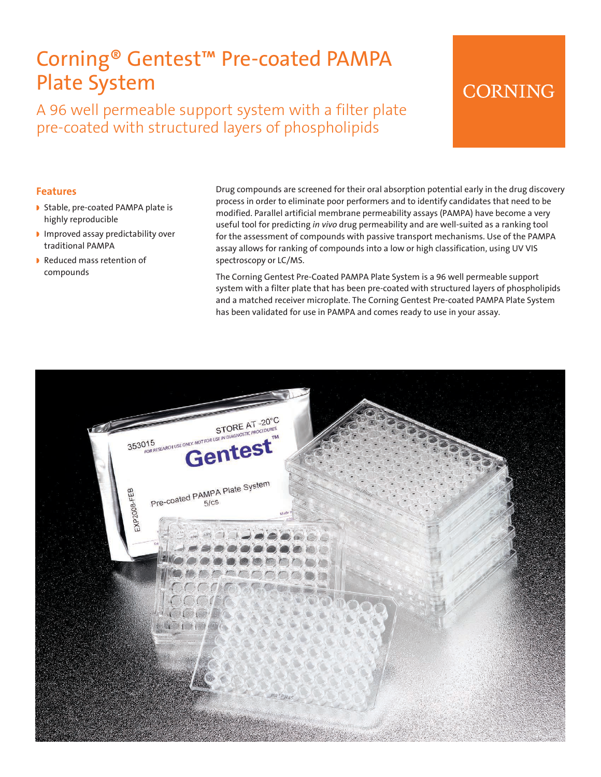# Corning® Gentest™ Pre-coated PAMPA Plate System

A 96 well permeable support system with a filter plate pre-coated with structured layers of phospholipids

# **CORNING**

#### **Features**

- Stable, pre-coated PAMPA plate is highly reproducible
- I Improved assay predictability over traditional PAMPA
- Reduced mass retention of compounds

Drug compounds are screened for their oral absorption potential early in the drug discovery process in order to eliminate poor performers and to identify candidates that need to be modified. Parallel artificial membrane permeability assays (PAMPA) have become a very useful tool for predicting *in vivo* drug permeability and are well-suited as a ranking tool for the assessment of compounds with passive transport mechanisms. Use of the PAMPA assay allows for ranking of compounds into a low or high classification, using UV VIS spectroscopy or LC/MS.

The Corning Gentest Pre-Coated PAMPA Plate System is a 96 well permeable support system with a filter plate that has been pre-coated with structured layers of phospholipids and a matched receiver microplate. The Corning Gentest Pre-coated PAMPA Plate System has been validated for use in PAMPA and comes ready to use in your assay.